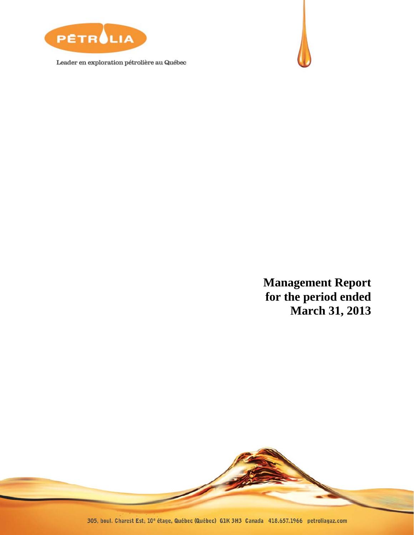

Leader en exploration pétrolière au Québec



**Management Report for the period ended March 31, 2013** 

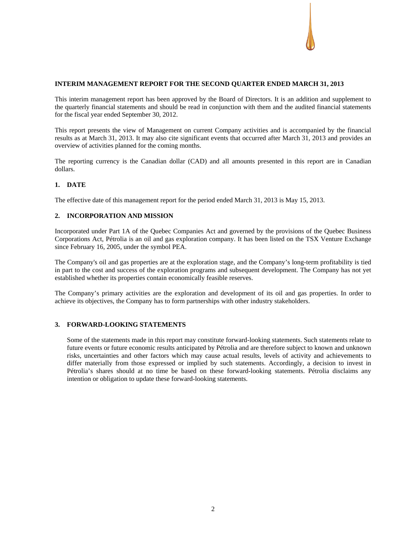## **INTERIM MANAGEMENT REPORT FOR THE SECOND QUARTER ENDED MARCH 31, 2013**

This interim management report has been approved by the Board of Directors. It is an addition and supplement to the quarterly financial statements and should be read in conjunction with them and the audited financial statements for the fiscal year ended September 30, 2012.

This report presents the view of Management on current Company activities and is accompanied by the financial results as at March 31, 2013. It may also cite significant events that occurred after March 31, 2013 and provides an overview of activities planned for the coming months.

The reporting currency is the Canadian dollar (CAD) and all amounts presented in this report are in Canadian dollars.

## **1. DATE**

The effective date of this management report for the period ended March 31, 2013 is May 15, 2013.

## **2. INCORPORATION AND MISSION**

Incorporated under Part 1A of the Quebec Companies Act and governed by the provisions of the Quebec Business Corporations Act, Pétrolia is an oil and gas exploration company. It has been listed on the TSX Venture Exchange since February 16, 2005, under the symbol PEA.

The Company's oil and gas properties are at the exploration stage, and the Company's long-term profitability is tied in part to the cost and success of the exploration programs and subsequent development. The Company has not yet established whether its properties contain economically feasible reserves.

The Company's primary activities are the exploration and development of its oil and gas properties. In order to achieve its objectives, the Company has to form partnerships with other industry stakeholders.

## **3. FORWARD-LOOKING STATEMENTS**

Some of the statements made in this report may constitute forward-looking statements. Such statements relate to future events or future economic results anticipated by Pétrolia and are therefore subject to known and unknown risks, uncertainties and other factors which may cause actual results, levels of activity and achievements to differ materially from those expressed or implied by such statements. Accordingly, a decision to invest in Pétrolia's shares should at no time be based on these forward-looking statements. Pétrolia disclaims any intention or obligation to update these forward-looking statements.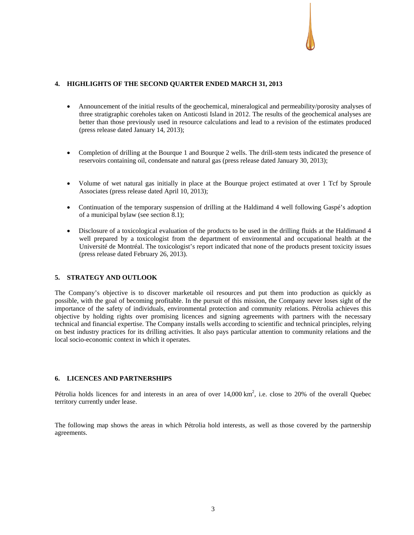## **4. HIGHLIGHTS OF THE SECOND QUARTER ENDED MARCH 31, 2013**

- Announcement of the initial results of the geochemical, mineralogical and permeability/porosity analyses of three stratigraphic coreholes taken on Anticosti Island in 2012. The results of the geochemical analyses are better than those previously used in resource calculations and lead to a revision of the estimates produced (press release dated January 14, 2013);
- Completion of drilling at the Bourque 1 and Bourque 2 wells. The drill-stem tests indicated the presence of reservoirs containing oil, condensate and natural gas (press release dated January 30, 2013);
- Volume of wet natural gas initially in place at the Bourque project estimated at over 1 Tcf by Sproule Associates (press release dated April 10, 2013);
- Continuation of the temporary suspension of drilling at the Haldimand 4 well following Gaspé's adoption of a municipal bylaw (see section 8.1);
- Disclosure of a toxicological evaluation of the products to be used in the drilling fluids at the Haldimand 4 well prepared by a toxicologist from the department of environmental and occupational health at the Université de Montréal. The toxicologist's report indicated that none of the products present toxicity issues (press release dated February 26, 2013).

## **5. STRATEGY AND OUTLOOK**

The Company's objective is to discover marketable oil resources and put them into production as quickly as possible, with the goal of becoming profitable. In the pursuit of this mission, the Company never loses sight of the importance of the safety of individuals, environmental protection and community relations. Pétrolia achieves this objective by holding rights over promising licences and signing agreements with partners with the necessary technical and financial expertise. The Company installs wells according to scientific and technical principles, relying on best industry practices for its drilling activities. It also pays particular attention to community relations and the local socio-economic context in which it operates.

## **6. LICENCES AND PARTNERSHIPS**

Pétrolia holds licences for and interests in an area of over  $14,000 \text{ km}^2$ , i.e. close to 20% of the overall Quebec territory currently under lease.

The following map shows the areas in which Pétrolia hold interests, as well as those covered by the partnership agreements.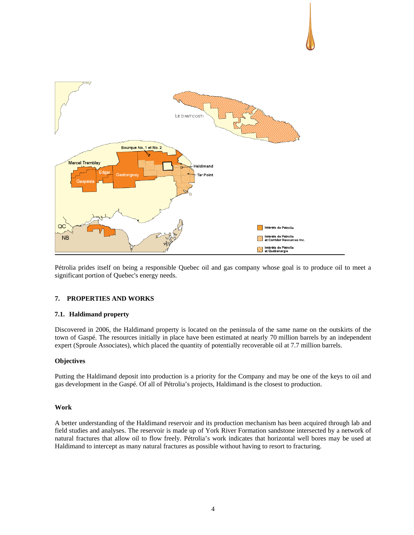

Pétrolia prides itself on being a responsible Quebec oil and gas company whose goal is to produce oil to meet a significant portion of Quebec's energy needs.

## **7. PROPERTIES AND WORKS**

## **7.1. Haldimand property**

Discovered in 2006, the Haldimand property is located on the peninsula of the same name on the outskirts of the town of Gaspé. The resources initially in place have been estimated at nearly 70 million barrels by an independent expert (Sproule Associates), which placed the quantity of potentially recoverable oil at 7.7 million barrels.

## **Objectives**

Putting the Haldimand deposit into production is a priority for the Company and may be one of the keys to oil and gas development in the Gaspé. Of all of Pétrolia's projects, Haldimand is the closest to production.

## **Work**

A better understanding of the Haldimand reservoir and its production mechanism has been acquired through lab and field studies and analyses. The reservoir is made up of York River Formation sandstone intersected by a network of natural fractures that allow oil to flow freely. Pétrolia's work indicates that horizontal well bores may be used at Haldimand to intercept as many natural fractures as possible without having to resort to fracturing.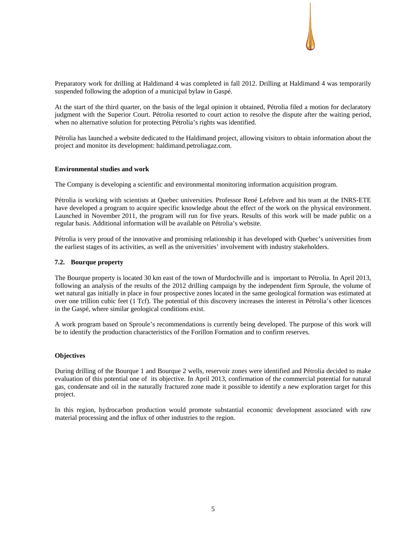

Preparatory work for drilling at Haldimand 4 was completed in fall 2012. Drilling at Haldimand 4 was temporarily suspended following the adoption of a municipal bylaw in Gaspé.

At the start of the third quarter, on the basis of the legal opinion it obtained, Pétrolia filed a motion for declaratory judgment with the Superior Court. Pétrolia resorted to court action to resolve the dispute after the waiting period, when no alternative solution for protecting Pétrolia's rights was identified.

Pétrolia has launched a website dedicated to the Haldimand project, allowing visitors to obtain information about the project and monitor its development: haldimand.petroliagaz.com.

## **Environmental studies and work**

The Company is developing a scientific and environmental monitoring information acquisition program.

Pétrolia is working with scientists at Quebec universities. Professor René Lefebvre and his team at the INRS-ETE have developed a program to acquire specific knowledge about the effect of the work on the physical environment. Launched in November 2011, the program will run for five years. Results of this work will be made public on a regular basis. Additional information will be available on Pétrolia's website.

Pétrolia is very proud of the innovative and promising relationship it has developed with Quebec's universities from the earliest stages of its activities, as well as the universities' involvement with industry stakeholders.

## **7.2. Bourque property**

The Bourque property is located 30 km east of the town of Murdochville and is important to Pétrolia. In April 2013, following an analysis of the results of the 2012 drilling campaign by the independent firm Sproule, the volume of wet natural gas initially in place in four prospective zones located in the same geological formation was estimated at over one trillion cubic feet (1 Tcf). The potential of this discovery increases the interest in Pétrolia's other licences in the Gaspé, where similar geological conditions exist.

A work program based on Sproule's recommendations is currently being developed. The purpose of this work will be to identify the production characteristics of the Forillon Formation and to confirm reserves.

## **Objectives**

During drilling of the Bourque 1 and Bourque 2 wells, reservoir zones were identified and Pétrolia decided to make evaluation of this potential one of its objective. In April 2013, confirmation of the commercial potential for natural gas, condensate and oil in the naturally fractured zone made it possible to identify a new exploration target for this project.

In this region, hydrocarbon production would promote substantial economic development associated with raw material processing and the influx of other industries to the region.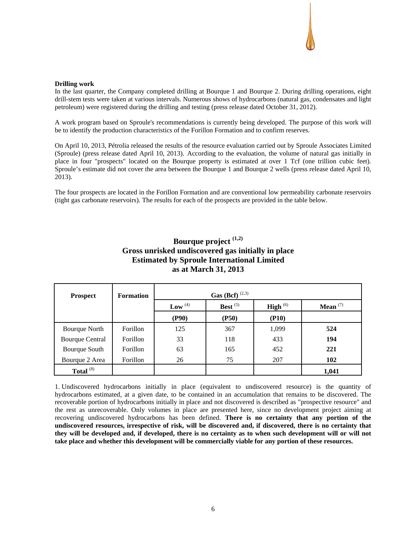## **Drilling work**

In the last quarter, the Company completed drilling at Bourque 1 and Bourque 2. During drilling operations, eight drill-stem tests were taken at various intervals. Numerous shows of hydrocarbons (natural gas, condensates and light petroleum) were registered during the drilling and testing (press release dated October 31, 2012).

A work program based on Sproule's recommendations is currently being developed. The purpose of this work will be to identify the production characteristics of the Forillon Formation and to confirm reserves.

On April 10, 2013, Pétrolia released the results of the resource evaluation carried out by Sproule Associates Limited (Sproule) (press release dated April 10, 2013). According to the evaluation, the volume of natural gas initially in place in four "prospects" located on the Bourque property is estimated at over 1 Tcf (one trillion cubic feet). Sproule's estimate did not cover the area between the Bourque 1 and Bourque 2 wells (press release dated April 10, 2013).

The four prospects are located in the Forillon Formation and are conventional low permeability carbonate reservoirs (tight gas carbonate reservoirs). The results for each of the prospects are provided in the table below.

# **Bourque project (1,2) Gross unrisked undiscovered gas initially in place Estimated by Sproule International Limited as at March 31, 2013**

| <b>Prospect</b>        | <b>Formation</b> | <b>Gas</b> (Bcf) <sup>(2,3)</sup> |       |               |            |  |  |
|------------------------|------------------|-----------------------------------|-------|---------------|------------|--|--|
|                        |                  | Best $(5)$<br>Low $^{(4)}$        |       | High $^{(6)}$ | Mean $(7)$ |  |  |
|                        |                  | (P90)                             | (P50) | (P10)         |            |  |  |
| <b>Bourque North</b>   | Forillon         | 125                               | 367   | 1,099         | 524        |  |  |
| <b>Bourque Central</b> | Forillon         | 33                                | 118   | 433           | 194        |  |  |
| Bourque South          | Forillon         | 63                                | 165   | 452           | 221        |  |  |
| Bourque 2 Area         | Forillon         | 26                                | 75    | 207           | 102        |  |  |
| Total $^{(8)}$         |                  |                                   |       |               | 1,041      |  |  |

1. Undiscovered hydrocarbons initially in place (equivalent to undiscovered resource) is the quantity of hydrocarbons estimated, at a given date, to be contained in an accumulation that remains to be discovered. The recoverable portion of hydrocarbons initially in place and not discovered is described as "prospective resource" and the rest as unrecoverable. Only volumes in place are presented here, since no development project aiming at recovering undiscovered hydrocarbons has been defined. **There is no certainty that any portion of the undiscovered resources, irrespective of risk, will be discovered and, if discovered, there is no certainty that they will be developed and, if developed, there is no certainty as to when such development will or will not take place and whether this development will be commercially viable for any portion of these resources.**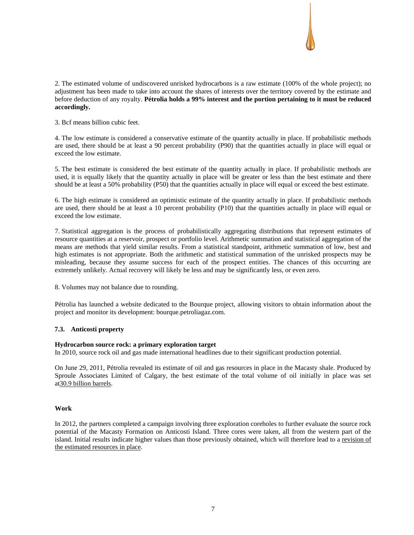

2. The estimated volume of undiscovered unrisked hydrocarbons is a raw estimate (100% of the whole project); no adjustment has been made to take into account the shares of interests over the territory covered by the estimate and before deduction of any royalty. **Pétrolia holds a 99% interest and the portion pertaining to it must be reduced accordingly.** 

3. Bcf means billion cubic feet.

4. The low estimate is considered a conservative estimate of the quantity actually in place. If probabilistic methods are used, there should be at least a 90 percent probability (P90) that the quantities actually in place will equal or exceed the low estimate.

5. The best estimate is considered the best estimate of the quantity actually in place. If probabilistic methods are used, it is equally likely that the quantity actually in place will be greater or less than the best estimate and there should be at least a 50% probability (P50) that the quantities actually in place will equal or exceed the best estimate.

6. The high estimate is considered an optimistic estimate of the quantity actually in place. If probabilistic methods are used, there should be at least a 10 percent probability (P10) that the quantities actually in place will equal or exceed the low estimate.

7. Statistical aggregation is the process of probabilistically aggregating distributions that represent estimates of resource quantities at a reservoir, prospect or portfolio level. Arithmetic summation and statistical aggregation of the means are methods that yield similar results. From a statistical standpoint, arithmetic summation of low, best and high estimates is not appropriate. Both the arithmetic and statistical summation of the unrisked prospects may be misleading, because they assume success for each of the prospect entities. The chances of this occurring are extremely unlikely. Actual recovery will likely be less and may be significantly less, or even zero.

8. Volumes may not balance due to rounding.

Pétrolia has launched a website dedicated to the Bourque project, allowing visitors to obtain information about the project and monitor its development: bourque.petroliagaz.com.

## **7.3. Anticosti property**

## **Hydrocarbon source rock: a primary exploration target**

In 2010, source rock oil and gas made international headlines due to their significant production potential.

On June 29, 2011, Pétrolia revealed its estimate of oil and gas resources in place in the Macasty shale. Produced by Sproule Associates Limited of Calgary, the best estimate of the total volume of oil initially in place was set at30.9 billion barrels.

## **Work**

In 2012, the partners completed a campaign involving three exploration coreholes to further evaluate the source rock potential of the Macasty Formation on Anticosti Island. Three cores were taken, all from the western part of the island. Initial results indicate higher values than those previously obtained, which will therefore lead to a revision of the estimated resources in place.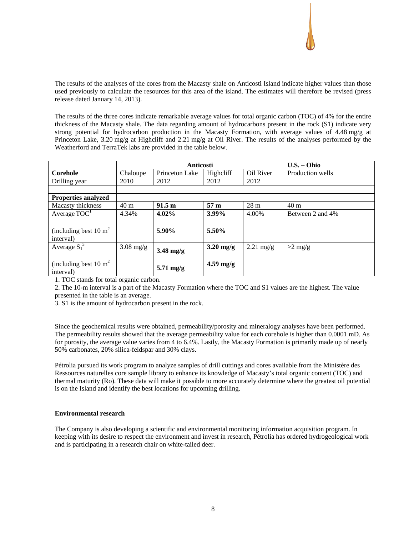The results of the analyses of the cores from the Macasty shale on Anticosti Island indicate higher values than those used previously to calculate the resources for this area of the island. The estimates will therefore be revised (press release dated January 14, 2013).

The results of the three cores indicate remarkable average values for total organic carbon (TOC) of 4% for the entire thickness of the Macasty shale. The data regarding amount of hydrocarbons present in the rock (S1) indicate very strong potential for hydrocarbon production in the Macasty Formation, with average values of 4.48 mg/g at Princeton Lake, 3.20 mg/g at Highcliff and 2.21 mg/g at Oil River. The results of the analyses performed by the Weatherford and TerraTek labs are provided in the table below.

|                                    |                 | <b>Anticosti</b>    |                     | U.S. - Ohio         |                  |
|------------------------------------|-----------------|---------------------|---------------------|---------------------|------------------|
| Corehole                           | Chaloupe        | Princeton Lake      | Highcliff           | Oil River           | Production wells |
| Drilling year                      | 2010            | 2012                | 2012                | 2012                |                  |
|                                    |                 |                     |                     |                     |                  |
| <b>Properties analyzed</b>         |                 |                     |                     |                     |                  |
| Macasty thickness                  | 40 <sub>m</sub> | 91.5 m              | 57 <sub>m</sub>     | 28 <sub>m</sub>     | 40 <sub>m</sub>  |
| Average $TOC1$                     | 4.34%           | 4.02%               | 3.99%               | 4.00%               | Between 2 and 4% |
|                                    |                 |                     |                     |                     |                  |
| (including best $10 \text{ m}^2$ ) |                 | 5.90%               | 5.50%               |                     |                  |
| interval)                          |                 |                     |                     |                     |                  |
| Average $S_1^3$                    | $3.08$ mg/g     | $3.48 \text{ mg/g}$ | $3.20$ mg/g         | $2.21 \text{ mg/g}$ | $>2$ mg/g        |
|                                    |                 |                     |                     |                     |                  |
| (including best $10 \text{ m}^2$ ) |                 |                     | $4.59 \text{ mg/g}$ |                     |                  |
| interval)                          |                 | $5.71 \text{ mg/g}$ |                     |                     |                  |

1. TOC stands for total organic carbon.

2. The 10-m interval is a part of the Macasty Formation where the TOC and S1 values are the highest. The value presented in the table is an average.

3. S1 is the amount of hydrocarbon present in the rock.

Since the geochemical results were obtained, permeability/porosity and mineralogy analyses have been performed. The permeability results showed that the average permeability value for each corehole is higher than 0.0001 mD. As for porosity, the average value varies from 4 to 6.4%. Lastly, the Macasty Formation is primarily made up of nearly 50% carbonates, 20% silica-feldspar and 30% clays.

Pétrolia pursued its work program to analyze samples of drill cuttings and cores available from the Ministère des Ressources naturelles core sample library to enhance its knowledge of Macasty's total organic content (TOC) and thermal maturity (Ro). These data will make it possible to more accurately determine where the greatest oil potential is on the Island and identify the best locations for upcoming drilling.

## **Environmental research**

The Company is also developing a scientific and environmental monitoring information acquisition program. In keeping with its desire to respect the environment and invest in research, Pétrolia has ordered hydrogeological work and is participating in a research chair on white-tailed deer.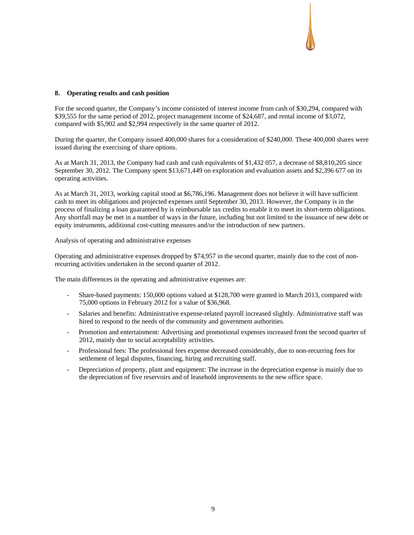## **8. Operating results and cash position**

For the second quarter, the Company's income consisted of interest income from cash of \$30,294, compared with \$39,555 for the same period of 2012, project management income of \$24,687, and rental income of \$3,072, compared with \$5,902 and \$2,994 respectively in the same quarter of 2012.

During the quarter, the Company issued 400,000 shares for a consideration of \$240,000. These 400,000 shares were issued during the exercising of share options.

As at March 31, 2013, the Company had cash and cash equivalents of \$1,432 057, a decrease of \$8,810,205 since September 30, 2012. The Company spent \$13,671,449 on exploration and evaluation assets and \$2,396 677 on its operating activities.

As at March 31, 2013, working capital stood at \$6,786,196. Management does not believe it will have sufficient cash to meet its obligations and projected expenses until September 30, 2013. However, the Company is in the process of finalizing a loan guaranteed by is reimbursable tax credits to enable it to meet its short-term obligations. Any shortfall may be met in a number of ways in the future, including but not limited to the issuance of new debt or equity instruments, additional cost-cutting measures and/or the introduction of new partners.

Analysis of operating and administrative expenses

Operating and administrative expenses dropped by \$74,957 in the second quarter, mainly due to the cost of nonrecurring activities undertaken in the second quarter of 2012.

The main differences in the operating and administrative expenses are:

- Share-based payments: 150,000 options valued at \$128,700 were granted in March 2013, compared with 75,000 options in February 2012 for a value of \$36,968.
- Salaries and benefits: Administrative expense-related payroll increased slightly. Administrative staff was hired to respond to the needs of the community and government authorities.
- Promotion and entertainment: Advertising and promotional expenses increased from the second quarter of 2012, mainly due to social acceptability activities.
- Professional fees: The professional fees expense decreased considerably, due to non-recurring fees for settlement of legal disputes, financing, hiring and recruiting staff.
- Depreciation of property, plant and equipment: The increase in the depreciation expense is mainly due to the depreciation of five reservoirs and of leasehold improvements to the new office space.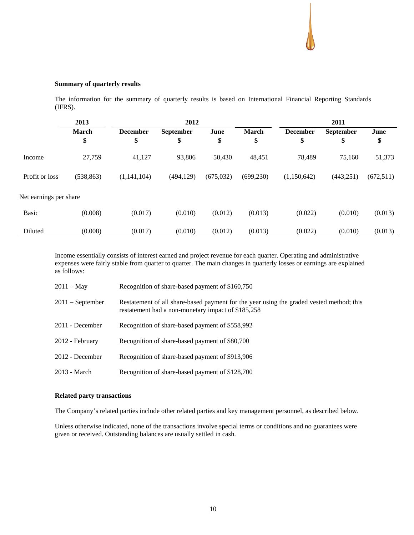## **Summary of quarterly results**

The information for the summary of quarterly results is based on International Financial Reporting Standards (IFRS).

|                        | 2013         |                 | 2012             |            |              |                 |                  |           |
|------------------------|--------------|-----------------|------------------|------------|--------------|-----------------|------------------|-----------|
|                        | <b>March</b> | <b>December</b> | <b>September</b> | June       | <b>March</b> | <b>December</b> | <b>September</b> | June      |
|                        | \$           | \$              | \$               | \$         | \$           | \$              | \$               | \$        |
| Income                 | 27,759       | 41,127          | 93,806           | 50,430     | 48,451       | 78,489          | 75,160           | 51,373    |
| Profit or loss         | (538, 863)   | (1,141,104)     | (494, 129)       | (675, 032) | (699, 230)   | (1,150,642)     | (443, 251)       | (672,511) |
| Net earnings per share |              |                 |                  |            |              |                 |                  |           |
| <b>Basic</b>           | (0.008)      | (0.017)         | (0.010)          | (0.012)    | (0.013)      | (0.022)         | (0.010)          | (0.013)   |
| Diluted                | (0.008)      | (0.017)         | (0.010)          | (0.012)    | (0.013)      | (0.022)         | (0.010)          | (0.013)   |

Income essentially consists of interest earned and project revenue for each quarter. Operating and administrative expenses were fairly stable from quarter to quarter. The main changes in quarterly losses or earnings are explained as follows:

| 2011 – May       | Recognition of share-based payment of \$160,750                                                                                                |
|------------------|------------------------------------------------------------------------------------------------------------------------------------------------|
| 2011 – September | Restatement of all share-based payment for the year using the graded vested method; this<br>restatement had a non-monetary impact of \$185,258 |
| 2011 - December  | Recognition of share-based payment of \$558,992                                                                                                |
| 2012 - February  | Recognition of share-based payment of \$80,700                                                                                                 |
| 2012 - December  | Recognition of share-based payment of \$913,906                                                                                                |
| 2013 - March     | Recognition of share-based payment of \$128,700                                                                                                |

#### **Related party transactions**

The Company's related parties include other related parties and key management personnel, as described below.

Unless otherwise indicated, none of the transactions involve special terms or conditions and no guarantees were given or received. Outstanding balances are usually settled in cash.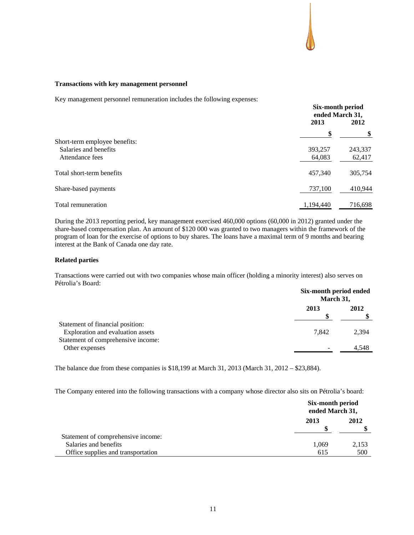## **Transactions with key management personnel**

Key management personnel remuneration includes the following expenses:

|                               | Six-month period<br>ended March 31, |         |
|-------------------------------|-------------------------------------|---------|
|                               | 2013                                | 2012    |
|                               | \$                                  |         |
| Short-term employee benefits: |                                     |         |
| Salaries and benefits         | 393,257                             | 243,337 |
| Attendance fees               | 64,083                              | 62,417  |
| Total short-term benefits     | 457,340                             | 305,754 |
| Share-based payments          | 737,100                             | 410,944 |
| Total remuneration            | 1,194,440                           | 716,698 |

During the 2013 reporting period, key management exercised 460,000 options (60,000 in 2012) granted under the share-based compensation plan. An amount of \$120 000 was granted to two managers within the framework of the program of loan for the exercise of options to buy shares. The loans have a maximal term of 9 months and bearing interest at the Bank of Canada one day rate.

### **Related parties**

Transactions were carried out with two companies whose main officer (holding a minority interest) also serves on Pétrolia's Board:

|                                                                       | Six-month period ended<br>March 31, |       |
|-----------------------------------------------------------------------|-------------------------------------|-------|
|                                                                       | 2013                                | 2012  |
| Statement of financial position:<br>Exploration and evaluation assets | 7.842                               | 2,394 |
| Statement of comprehensive income:<br>Other expenses                  | -                                   | 4,548 |

The balance due from these companies is \$18,199 at March 31, 2013 (March 31, 2012 – \$23,884).

The Company entered into the following transactions with a company whose director also sits on Pétrolia's board:

|                                    | Six-month period<br>ended March 31, |       |
|------------------------------------|-------------------------------------|-------|
|                                    | 2013                                | 2012  |
| Statement of comprehensive income: |                                     |       |
| Salaries and benefits              | 1,069                               | 2,153 |
| Office supplies and transportation | 615                                 | 500   |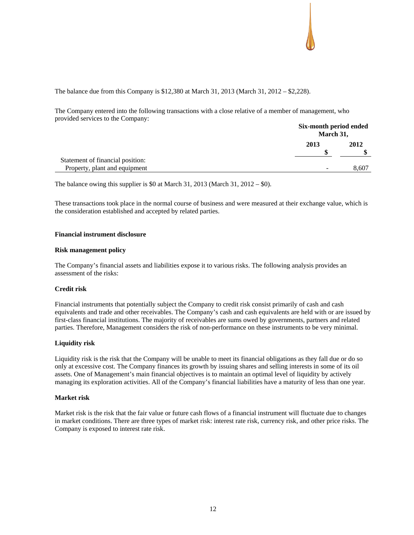

The balance due from this Company is \$12,380 at March 31, 2013 (March 31, 2012 – \$2,228).

The Company entered into the following transactions with a close relative of a member of management, who provided services to the Company:

|                                  | Six-month period ended<br>March 31, |       |
|----------------------------------|-------------------------------------|-------|
|                                  | 2013                                | 2012  |
| Statement of financial position: |                                     |       |
| Property, plant and equipment    | $\overline{\phantom{0}}$            | 8,607 |

The balance owing this supplier is \$0 at March 31, 2013 (March 31, 2012 – \$0).

These transactions took place in the normal course of business and were measured at their exchange value, which is the consideration established and accepted by related parties.

## **Financial instrument disclosure**

#### **Risk management policy**

The Company's financial assets and liabilities expose it to various risks. The following analysis provides an assessment of the risks:

## **Credit risk**

Financial instruments that potentially subject the Company to credit risk consist primarily of cash and cash equivalents and trade and other receivables. The Company's cash and cash equivalents are held with or are issued by first-class financial institutions. The majority of receivables are sums owed by governments, partners and related parties. Therefore, Management considers the risk of non-performance on these instruments to be very minimal.

## **Liquidity risk**

Liquidity risk is the risk that the Company will be unable to meet its financial obligations as they fall due or do so only at excessive cost. The Company finances its growth by issuing shares and selling interests in some of its oil assets. One of Management's main financial objectives is to maintain an optimal level of liquidity by actively managing its exploration activities. All of the Company's financial liabilities have a maturity of less than one year.

#### **Market risk**

Market risk is the risk that the fair value or future cash flows of a financial instrument will fluctuate due to changes in market conditions. There are three types of market risk: interest rate risk, currency risk, and other price risks. The Company is exposed to interest rate risk.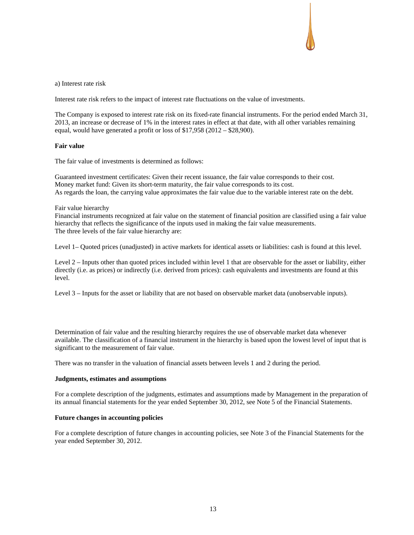a) Interest rate risk

Interest rate risk refers to the impact of interest rate fluctuations on the value of investments.

The Company is exposed to interest rate risk on its fixed-rate financial instruments. For the period ended March 31, 2013, an increase or decrease of 1% in the interest rates in effect at that date, with all other variables remaining equal, would have generated a profit or loss of \$17,958 (2012 – \$28,900).

#### **Fair value**

The fair value of investments is determined as follows:

Guaranteed investment certificates: Given their recent issuance, the fair value corresponds to their cost. Money market fund: Given its short-term maturity, the fair value corresponds to its cost. As regards the loan, the carrying value approximates the fair value due to the variable interest rate on the debt.

#### Fair value hierarchy

Financial instruments recognized at fair value on the statement of financial position are classified using a fair value hierarchy that reflects the significance of the inputs used in making the fair value measurements. The three levels of the fair value hierarchy are:

Level 1– Quoted prices (unadjusted) in active markets for identical assets or liabilities: cash is found at this level.

Level 2 – Inputs other than quoted prices included within level 1 that are observable for the asset or liability, either directly (i.e. as prices) or indirectly (i.e. derived from prices): cash equivalents and investments are found at this level.

Level 3 – Inputs for the asset or liability that are not based on observable market data (unobservable inputs).

Determination of fair value and the resulting hierarchy requires the use of observable market data whenever available. The classification of a financial instrument in the hierarchy is based upon the lowest level of input that is significant to the measurement of fair value.

There was no transfer in the valuation of financial assets between levels 1 and 2 during the period.

#### **Judgments, estimates and assumptions**

For a complete description of the judgments, estimates and assumptions made by Management in the preparation of its annual financial statements for the year ended September 30, 2012, see Note 5 of the Financial Statements.

## **Future changes in accounting policies**

For a complete description of future changes in accounting policies, see Note 3 of the Financial Statements for the year ended September 30, 2012.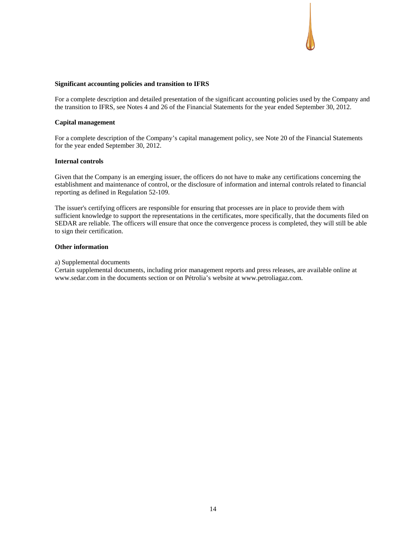## **Significant accounting policies and transition to IFRS**

For a complete description and detailed presentation of the significant accounting policies used by the Company and the transition to IFRS, see Notes 4 and 26 of the Financial Statements for the year ended September 30, 2012.

#### **Capital management**

For a complete description of the Company's capital management policy, see Note 20 of the Financial Statements for the year ended September 30, 2012.

## **Internal controls**

Given that the Company is an emerging issuer, the officers do not have to make any certifications concerning the establishment and maintenance of control, or the disclosure of information and internal controls related to financial reporting as defined in Regulation 52-109.

The issuer's certifying officers are responsible for ensuring that processes are in place to provide them with sufficient knowledge to support the representations in the certificates, more specifically, that the documents filed on SEDAR are reliable. The officers will ensure that once the convergence process is completed, they will still be able to sign their certification.

## **Other information**

#### a) Supplemental documents

Certain supplemental documents, including prior management reports and press releases, are available online at www.sedar.com in the documents section or on Pétrolia's website at www.petroliagaz.com.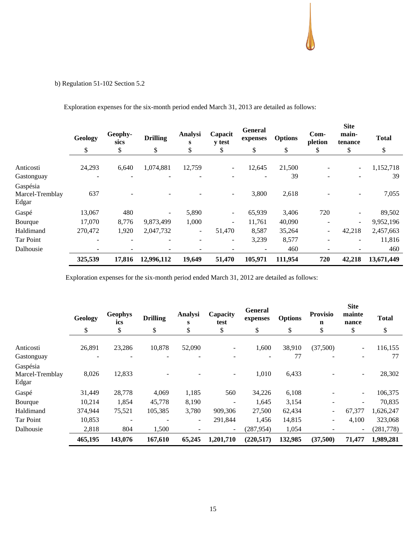# b) Regulation 51-102 Section 5.2

|                                      | Geology                  | Geophy-<br>sics          | <b>Drilling</b> | Analysi<br>s             | Capacit<br><b>v</b> test | <b>General</b><br>expenses | <b>Options</b> | $Com-$<br>pletion        | <b>Site</b><br>main-<br>tenance | <b>Total</b> |
|--------------------------------------|--------------------------|--------------------------|-----------------|--------------------------|--------------------------|----------------------------|----------------|--------------------------|---------------------------------|--------------|
|                                      | \$                       | \$                       | \$              | \$                       | \$                       | \$                         | \$             | \$                       | \$                              | \$           |
| Anticosti                            | 24,293                   | 6,640                    | 1,074,881       | 12,759                   | $\sim$                   | 12,645                     | 21,500         |                          | $\sim$                          | 1,152,718    |
| Gastonguay                           | $\overline{\phantom{0}}$ |                          |                 |                          |                          | $\overline{\phantom{a}}$   | 39             | $\overline{\phantom{0}}$ |                                 | 39           |
| Gaspésia<br>Marcel-Tremblay<br>Edgar | 637                      |                          |                 |                          | $\sim$                   | 3,800                      | 2,618          |                          | $\overline{\phantom{a}}$        | 7,055        |
| Gaspé                                | 13,067                   | 480                      |                 | 5,890                    | $\sim$                   | 65,939                     | 3,406          | 720                      |                                 | 89,502       |
| Bourque                              | 17.070                   | 8,776                    | 9,873,499       | 1,000                    | $\overline{\phantom{0}}$ | 11,761                     | 40,090         |                          | $\sim$                          | 9,952,196    |
| Haldimand                            | 270,472                  | 1,920                    | 2,047,732       | $\overline{\phantom{a}}$ | 51,470                   | 8,587                      | 35,264         | $\overline{\phantom{a}}$ | 42,218                          | 2,457,663    |
| Tar Point                            |                          | $\overline{\phantom{a}}$ |                 |                          | ۰                        | 3,239                      | 8,577          |                          |                                 | 11,816       |
| Dalhousie                            |                          |                          |                 |                          |                          | $\overline{\phantom{a}}$   | 460            |                          |                                 | 460          |
|                                      | 325,539                  | 17,816                   | 12,996,112      | 19,649                   | 51,470                   | 105,971                    | 111,954        | 720                      | 42,218                          | 13,671,449   |

Exploration expenses for the six-month period ended March 31, 2013 are detailed as follows:

Exploration expenses for the six-month period ended March 31, 2012 are detailed as follows:

|                                      | Geology | <b>Geophys</b><br>ics | <b>Drilling</b> | Analysi<br>S             | Capacity<br>test         | <b>General</b><br>expenses | <b>Options</b> | <b>Provisio</b><br>n     | <b>Site</b><br>mainte<br>nance | <b>Total</b> |
|--------------------------------------|---------|-----------------------|-----------------|--------------------------|--------------------------|----------------------------|----------------|--------------------------|--------------------------------|--------------|
|                                      | \$      | \$                    | \$              | \$                       | \$                       | \$                         | \$             | \$                       | \$                             | \$           |
| Anticosti                            | 26,891  | 23,286                | 10,878          | 52,090                   | ۰.                       | 1,600                      | 38,910         | (37,500)                 | $\qquad \qquad \blacksquare$   | 116,155      |
| Gastonguay                           |         |                       |                 |                          |                          |                            | 77             |                          |                                | 77           |
| Gaspésia<br>Marcel-Tremblay<br>Edgar | 8,026   | 12,833                |                 |                          | $\overline{\phantom{a}}$ | 1,010                      | 6,433          |                          |                                | 28,302       |
| Gaspé                                | 31,449  | 28,778                | 4,069           | 1,185                    | 560                      | 34,226                     | 6,108          |                          |                                | 106,375      |
| Bourque                              | 10,214  | 1,854                 | 45,778          | 8,190                    | $\overline{\phantom{a}}$ | 1,645                      | 3,154          |                          |                                | 70,835       |
| Haldimand                            | 374,944 | 75,521                | 105,385         | 3,780                    | 909.306                  | 27,500                     | 62,434         | $\overline{\phantom{a}}$ | 67,377                         | 1,626,247    |
| Tar Point                            | 10,853  |                       |                 | $\overline{\phantom{a}}$ | 291,844                  | 1,456                      | 14,815         | $\overline{\phantom{m}}$ | 4,100                          | 323,068      |
| Dalhousie                            | 2,818   | 804                   | 1,500           |                          | $\overline{\phantom{a}}$ | (287, 954)                 | 1,054          |                          | ۰                              | (281, 778)   |
|                                      | 465,195 | 143,076               | 167,610         | 65,245                   | 1,201,710                | (220, 517)                 | 132,985        | (37,500)                 | 71,477                         | 1,989,281    |